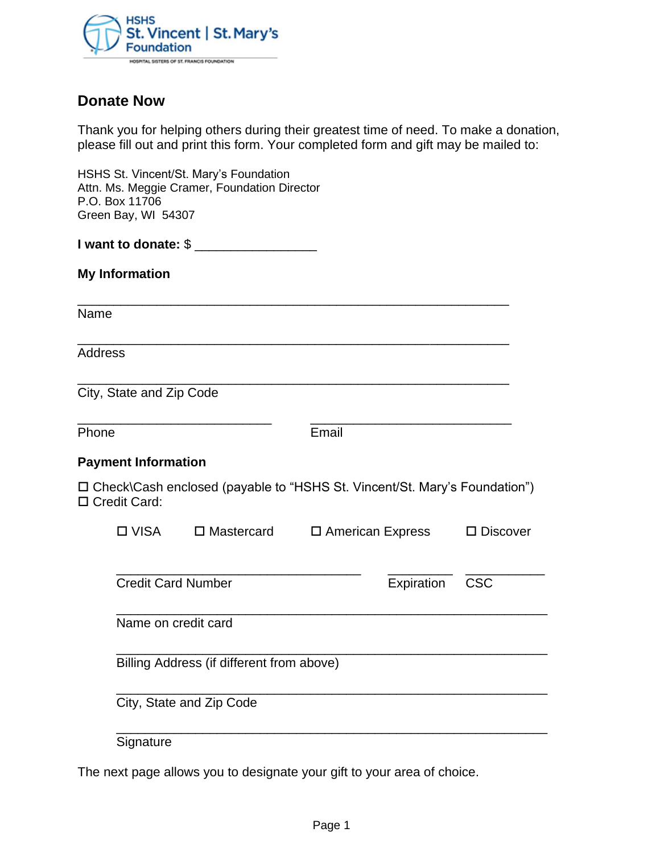

# **Donate Now**

Thank you for helping others during their greatest time of need. To make a donation, please fill out and print this form. Your completed form and gift may be mailed to:

HSHS St. Vincent/St. Mary's Foundation Attn. Ms. Meggie Cramer, Foundation Director P.O. Box 11706 Green Bay, WI 54307

**I want to donate:** \$ \_\_\_\_\_\_\_\_\_\_\_\_\_\_\_\_\_

**My Information** 

Name

Address

City, State and Zip Code

Phone **Email** 

## **Payment Information**

 Check\Cash enclosed (payable to "HSHS St. Vincent/St. Mary's Foundation") □ Credit Card:

\_\_\_\_\_\_\_\_\_\_\_\_\_\_\_\_\_\_\_\_\_\_\_\_\_\_\_\_\_\_\_\_\_\_\_\_\_\_\_\_\_\_\_\_\_\_\_\_\_\_\_\_\_\_\_\_\_\_\_\_

\_\_\_\_\_\_\_\_\_\_\_\_\_\_\_\_\_\_\_\_\_\_\_\_\_\_\_\_\_\_\_\_\_\_\_\_\_\_\_\_\_\_\_\_\_\_\_\_\_\_\_\_\_\_\_\_\_\_\_\_

\_\_\_\_\_\_\_\_\_\_\_\_\_\_\_\_\_\_\_\_\_\_\_\_\_\_\_\_\_\_\_\_\_\_\_\_\_\_\_\_\_\_\_\_\_\_\_\_\_\_\_\_\_\_\_\_\_\_\_\_

\_\_\_\_\_\_\_\_\_\_\_\_\_\_\_\_\_\_\_\_\_\_\_\_\_\_\_ \_\_\_\_\_\_\_\_\_\_\_\_\_\_\_\_\_\_\_\_\_\_\_\_\_\_\_\_

| <b>□ VISA</b>                             | $\square$ Mastercard | $\square$ American Express |            | $\square$ Discover |
|-------------------------------------------|----------------------|----------------------------|------------|--------------------|
|                                           |                      |                            |            |                    |
| <b>Credit Card Number</b>                 |                      |                            | Expiration | <b>CSC</b>         |
| Name on credit card                       |                      |                            |            |                    |
| Billing Address (if different from above) |                      |                            |            |                    |
| City, State and Zip Code                  |                      |                            |            |                    |

Signature

The next page allows you to designate your gift to your area of choice.